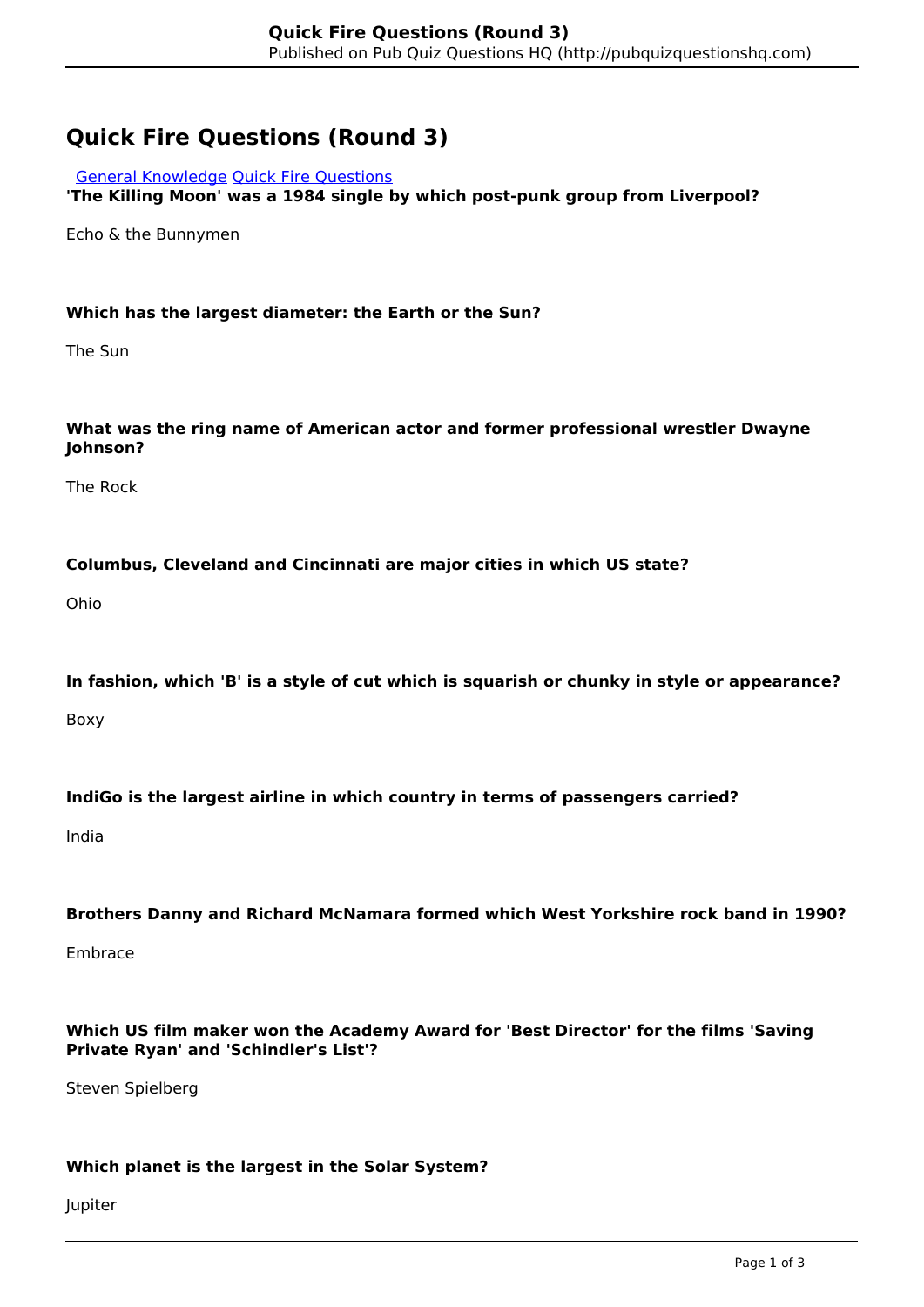# **Quick Fire Questions (Round 3)**

#### [General Knowledge](http://pubquizquestionshq.com/categories/general-knowledge) [Quick Fire Questions](http://pubquizquestionshq.com/categories/quick-fire-questions)

**'The Killing Moon' was a 1984 single by which post-punk group from Liverpool?**

Echo & the Bunnymen

## **Which has the largest diameter: the Earth or the Sun?**

The Sun

## **What was the ring name of American actor and former professional wrestler Dwayne Johnson?**

The Rock

#### **Columbus, Cleveland and Cincinnati are major cities in which US state?**

Ohio

#### **In fashion, which 'B' is a style of cut which is squarish or chunky in style or appearance?**

Boxy

## **IndiGo is the largest airline in which country in terms of passengers carried?**

India

#### **Brothers Danny and Richard McNamara formed which West Yorkshire rock band in 1990?**

Embrace

#### **Which US film maker won the Academy Award for 'Best Director' for the films 'Saving Private Ryan' and 'Schindler's List'?**

Steven Spielberg

## **Which planet is the largest in the Solar System?**

Jupiter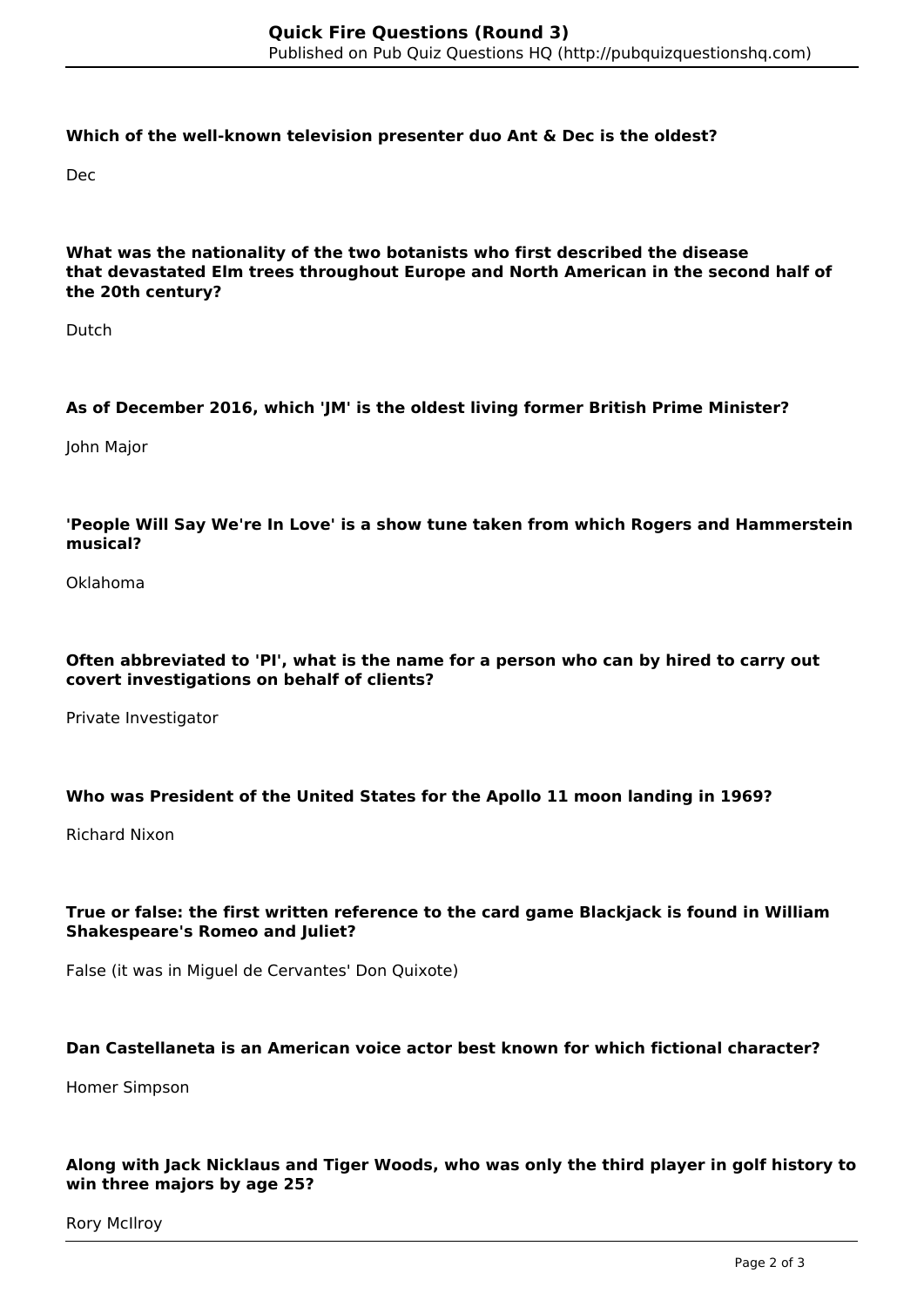#### **Which of the well-known television presenter duo Ant & Dec is the oldest?**

Dec

#### **What was the nationality of the two botanists who first described the disease that devastated Elm trees throughout Europe and North American in the second half of the 20th century?**

Dutch

# **As of December 2016, which 'JM' is the oldest living former British Prime Minister?**

John Major

## **'People Will Say We're In Love' is a show tune taken from which Rogers and Hammerstein musical?**

Oklahoma

## **Often abbreviated to 'PI', what is the name for a person who can by hired to carry out covert investigations on behalf of clients?**

Private Investigator

## **Who was President of the United States for the Apollo 11 moon landing in 1969?**

Richard Nixon

#### **True or false: the first written reference to the card game Blackjack is found in William Shakespeare's Romeo and Juliet?**

False (it was in Miguel de Cervantes' Don Quixote)

#### **Dan Castellaneta is an American voice actor best known for which fictional character?**

Homer Simpson

#### **Along with Jack Nicklaus and Tiger Woods, who was only the third player in golf history to win three majors by age 25?**

Rory McIlroy